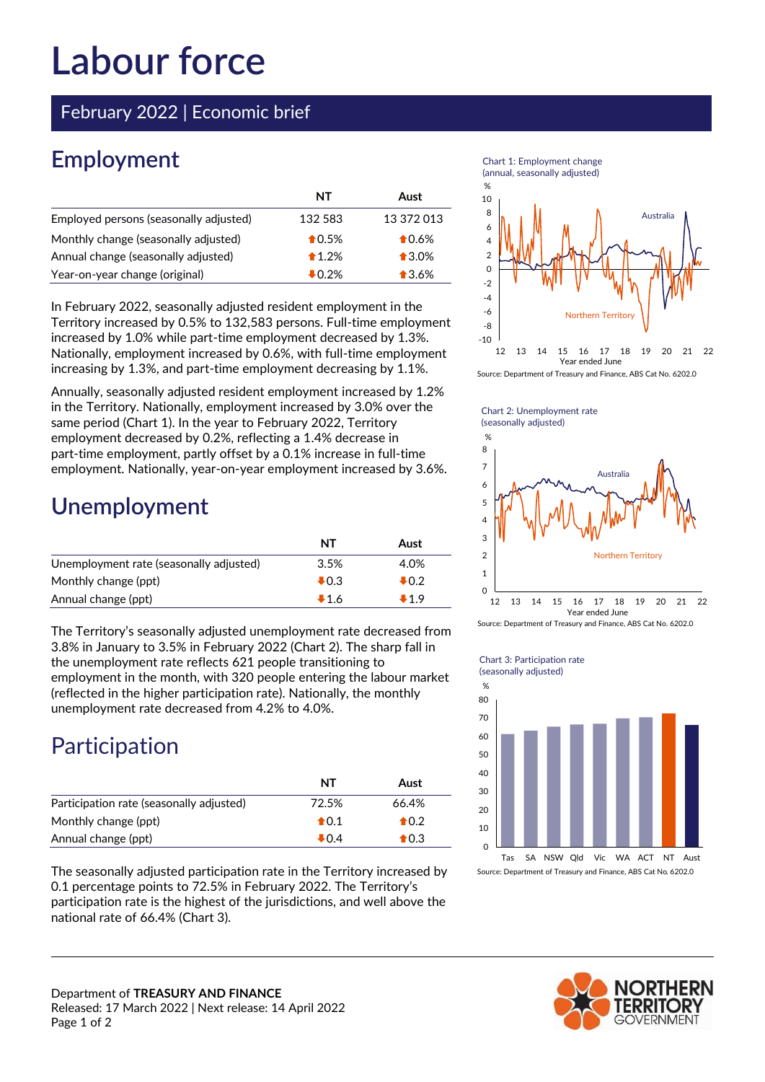# **Labour force**

February 2022 | Economic brief

# **Employment**

|                                        | NT               | Aust            |
|----------------------------------------|------------------|-----------------|
| Employed persons (seasonally adjusted) | 132 583          | 13 372 013      |
| Monthly change (seasonally adjusted)   | $\bigstar$ 0.5%  | $\bigstar$ 0.6% |
| Annual change (seasonally adjusted)    | $*1.2%$          | $\bigstar$ 3.0% |
| Year-on-year change (original)         | $\clubsuit$ 0.2% | $\bullet$ 3.6%  |

In February 2022, seasonally adjusted resident employment in the Territory increased by 0.5% to 132,583 persons. Full-time employment increased by 1.0% while part-time employment decreased by 1.3%. Nationally, employment increased by 0.6%, with full-time employment increasing by 1.3%, and part-time employment decreasing by 1.1%.

Annually, seasonally adjusted resident employment increased by 1.2% in the Territory. Nationally, employment increased by 3.0% over the same period (Chart 1). In the year to February 2022, Territory employment decreased by 0.2%, reflecting a 1.4% decrease in part-time employment, partly offset by a 0.1% increase in full-time employment. Nationally, year-on-year employment increased by 3.6%.

### **Unemployment**

|                                         | NT              | Aust  |
|-----------------------------------------|-----------------|-------|
| Unemployment rate (seasonally adjusted) | 3.5%            | 4.0%  |
| Monthly change (ppt)                    | $\clubsuit$ 0.3 | ♣0.2  |
| Annual change (ppt)                     | $+1.6$          | $+19$ |

The Territory's seasonally adjusted unemployment rate decreased from 3.8% in January to 3.5% in February 2022 (Chart 2). The sharp fall in the unemployment rate reflects 621 people transitioning to employment in the month, with 320 people entering the labour market (reflected in the higher participation rate). Nationally, the monthly unemployment rate decreased from 4.2% to 4.0%.

# Participation

|                                          | NT              | Aust           |
|------------------------------------------|-----------------|----------------|
| Participation rate (seasonally adjusted) | 72.5%           | 66.4%          |
| Monthly change (ppt)                     | $\bigoplus$ 0.1 | $\bigstar$ 0.2 |
| Annual change (ppt)                      | $\clubsuit$ 0.4 | $\bigstar$ 0.3 |

The seasonally adjusted participation rate in the Territory increased by 0.1 percentage points to 72.5% in February 2022. The Territory's participation rate is the highest of the jurisdictions, and well above the national rate of 66.4% (Chart 3).

Department of **TREASURY AND FINANCE**



Chart 1: Employment change





Source: Department of Treasury and Finance, ABS Cat No. 6202.0